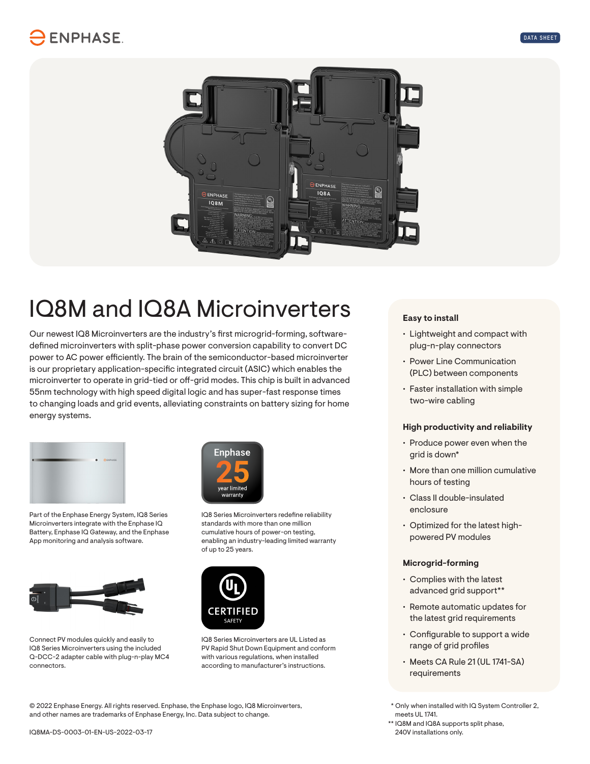## **ENPHASE**



# IQ8M and IQ8A Microinverters

Our newest IQ8 Microinverters are the industry's first microgrid-forming, softwaredefined microinverters with split-phase power conversion capability to convert DC power to AC power efficiently. The brain of the semiconductor-based microinverter is our proprietary application-specific integrated circuit (ASIC) which enables the microinverter to operate in grid-tied or off-grid modes. This chip is built in advanced 55nm technology with high speed digital logic and has super-fast response times to changing loads and grid events, alleviating constraints on battery sizing for home energy systems.



Part of the Enphase Energy System, IQ8 Series Microinverters integrate with the Enphase IQ Battery, Enphase IQ Gateway, and the Enphase App monitoring and analysis software.



Connect PV modules quickly and easily to IQ8 Series Microinverters using the included Q-DCC-2 adapter cable with plug-n-play MC4 connectors.



IQ8 Series Microinverters redefine reliability standards with more than one million cumulative hours of power-on testing, enabling an industry-leading limited warranty of up to 25 years.



IQ8 Series Microinverters are UL Listed as PV Rapid Shut Down Equipment and conform with various regulations, when installed according to manufacturer's instructions.

© 2022 Enphase Energy. All rights reserved. Enphase, the Enphase logo, IQ8 Microinverters, and other names are trademarks of Enphase Energy, Inc. Data subject to change.

#### **Easy to install**

- Lightweight and compact with plug-n-play connectors
- Power Line Communication (PLC) between components
- Faster installation with simple two-wire cabling

## **High productivity and reliability**

- Produce power even when the grid is down\*
- More than one million cumulative hours of testing
- Class II double-insulated enclosure
- Optimized for the latest highpowered PV modules

### **Microgrid-forming**

- Complies with the latest advanced grid support\*\*
- Remote automatic updates for the latest grid requirements
- Configurable to support a wide range of grid profiles
- Meets CA Rule 21 (UL 1741-SA) requirements
- \* Only when installed with IQ System Controller 2, meets UL 1741.
- \*\* IQ8M and IQ8A supports split phase, 240V installations only.